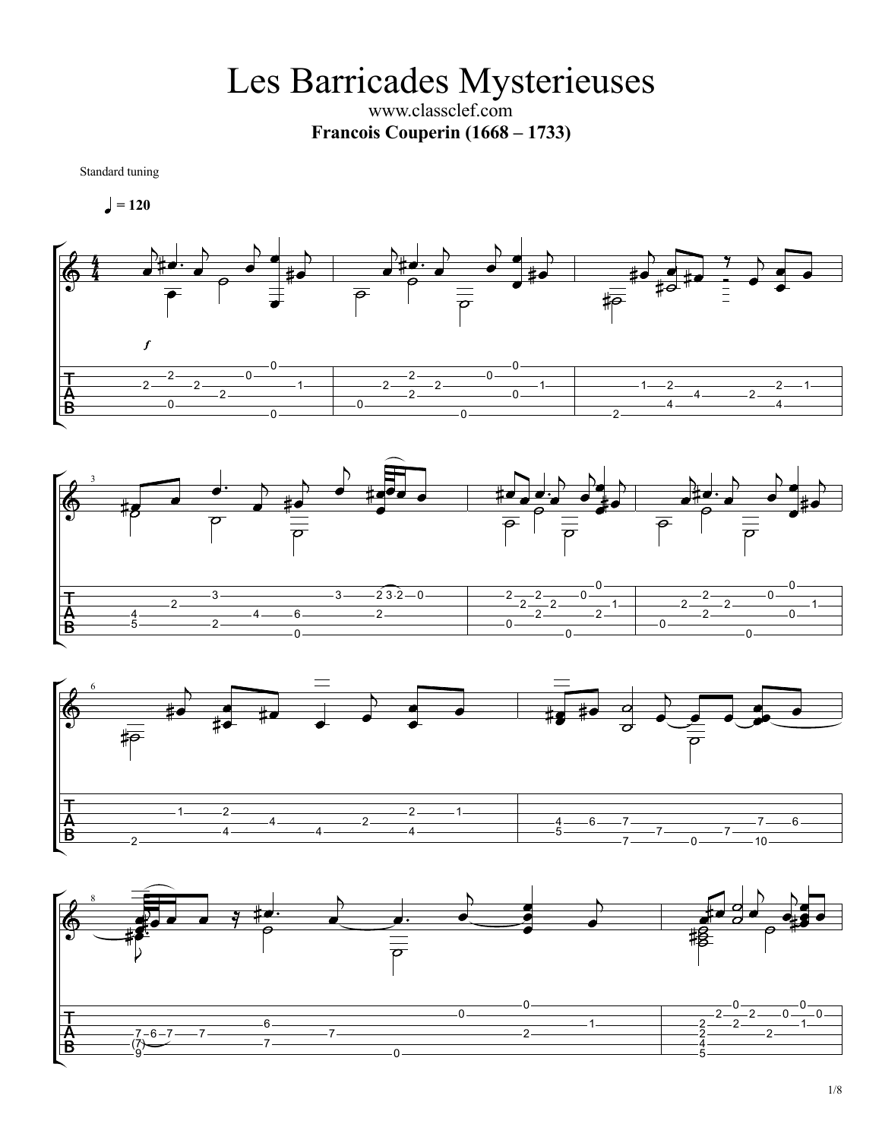Les Barricades Mysterieuses www.classclef.com

**Francois Couperin (1668 – 1733)**

Standard tuning

 $= 120$ 







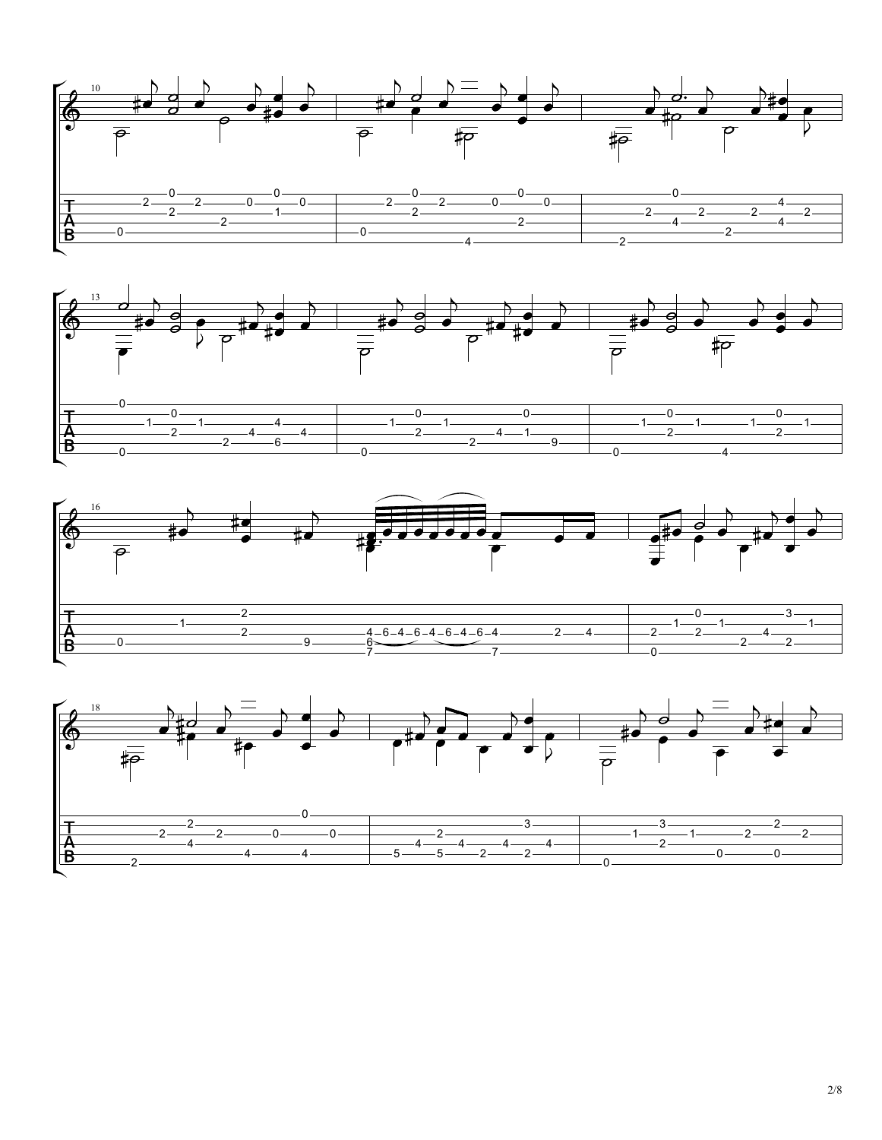





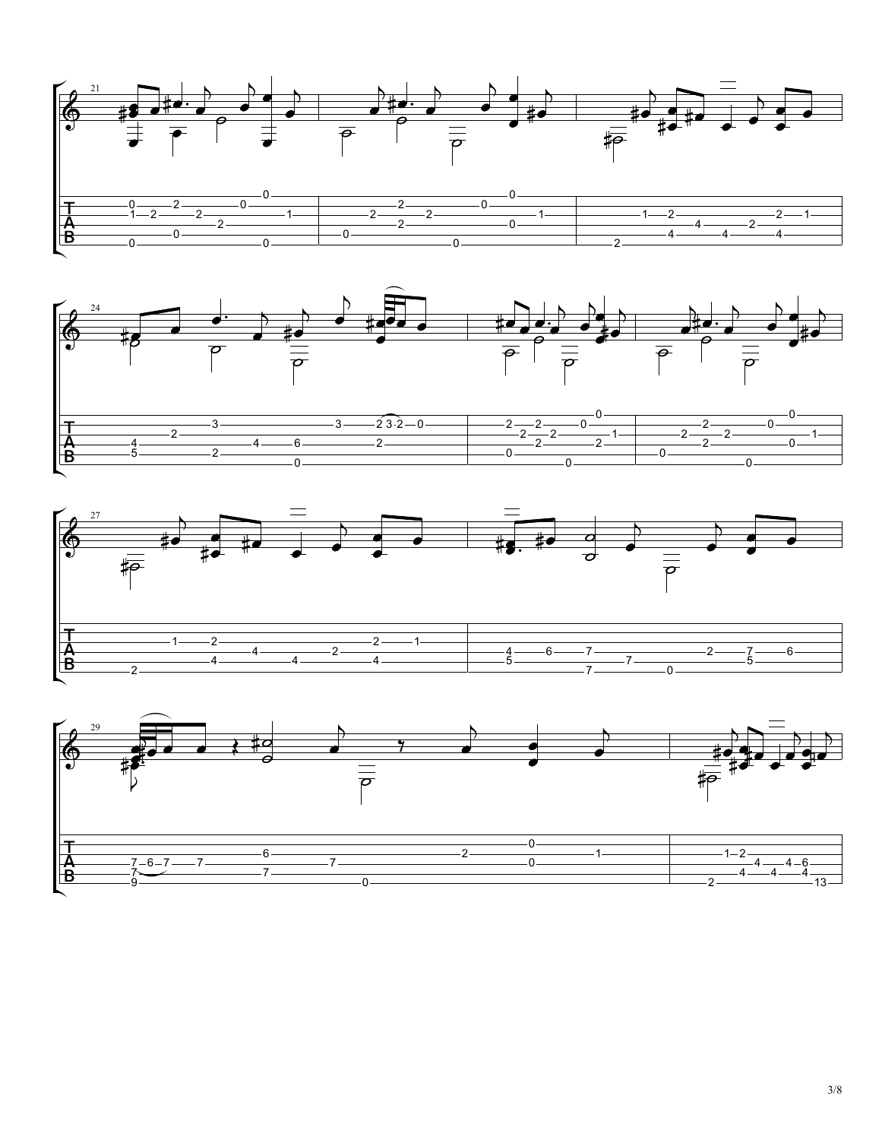





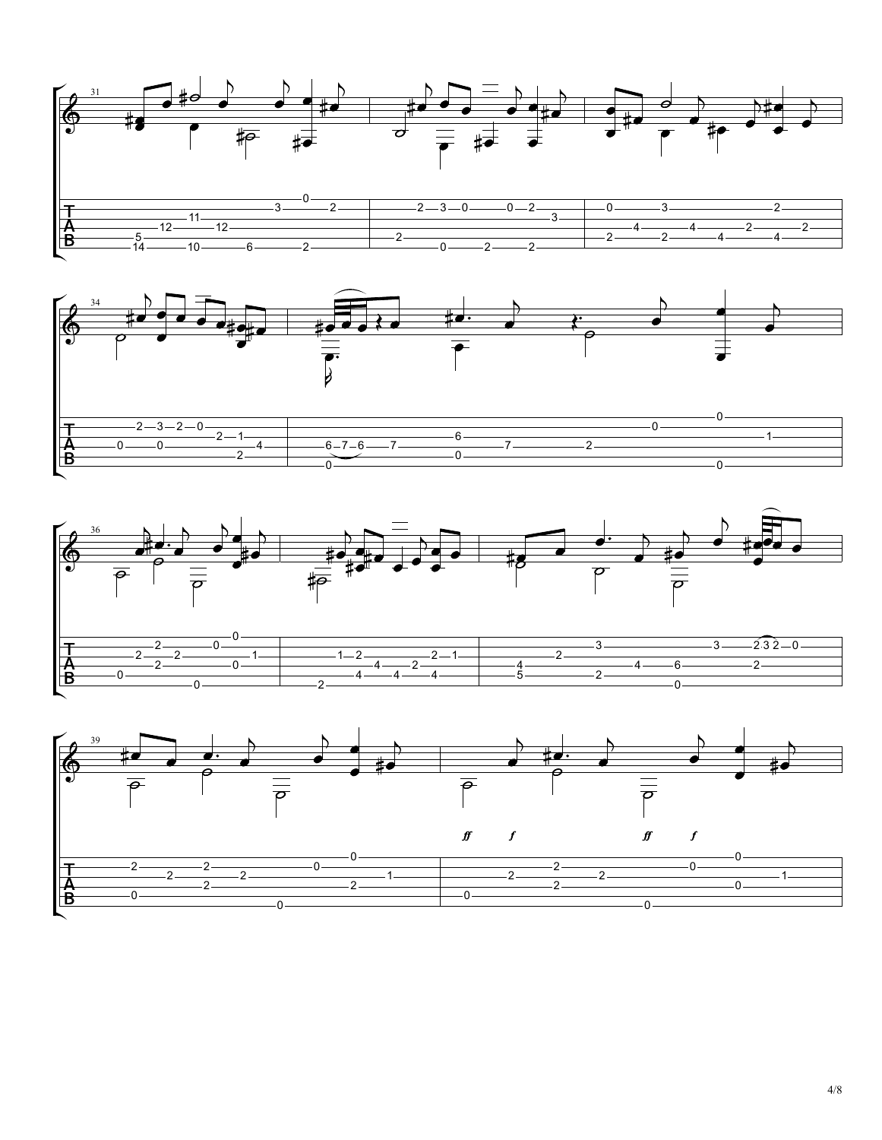





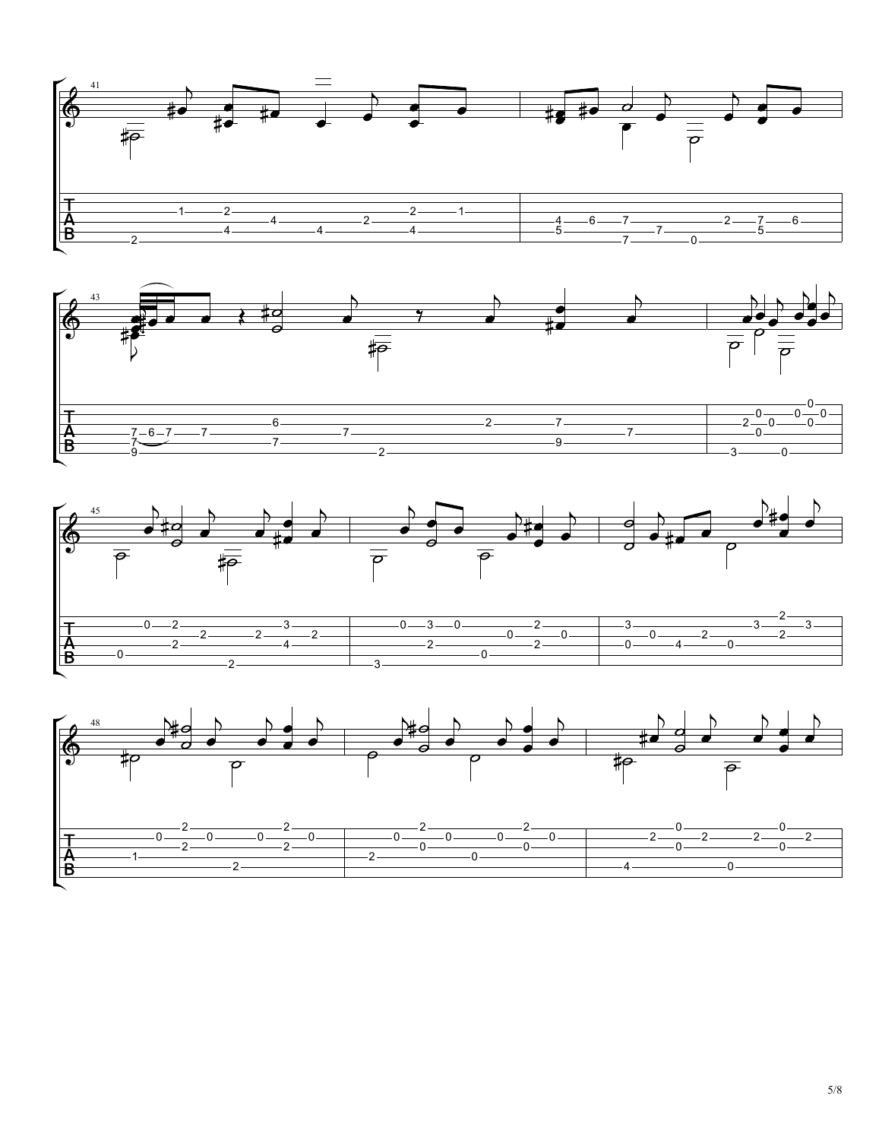





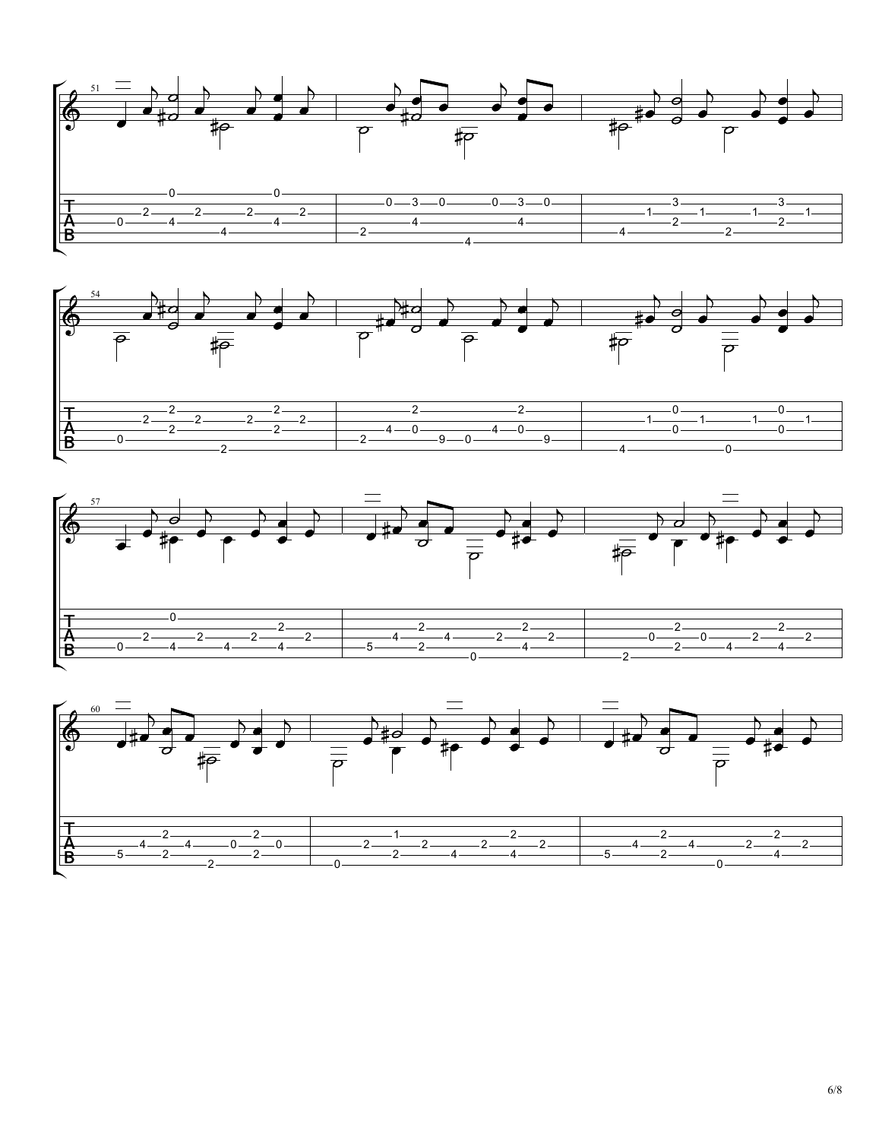





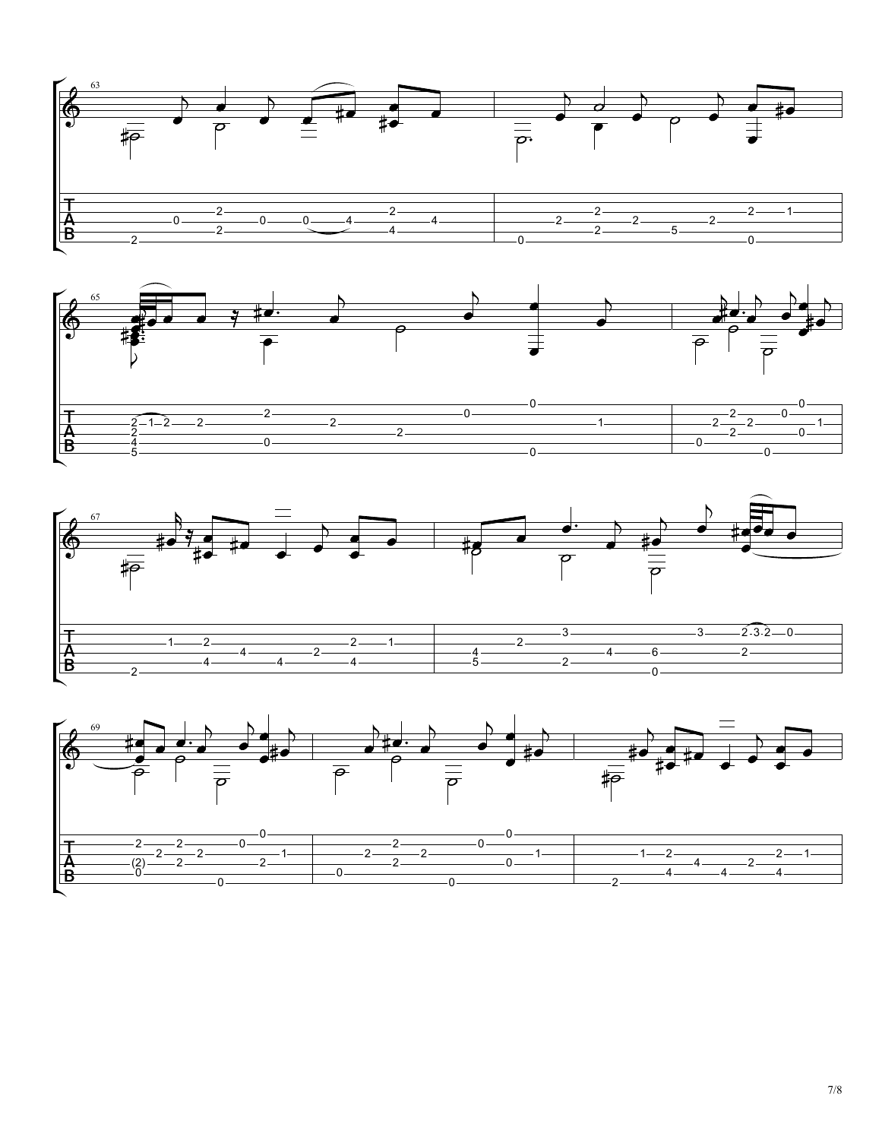